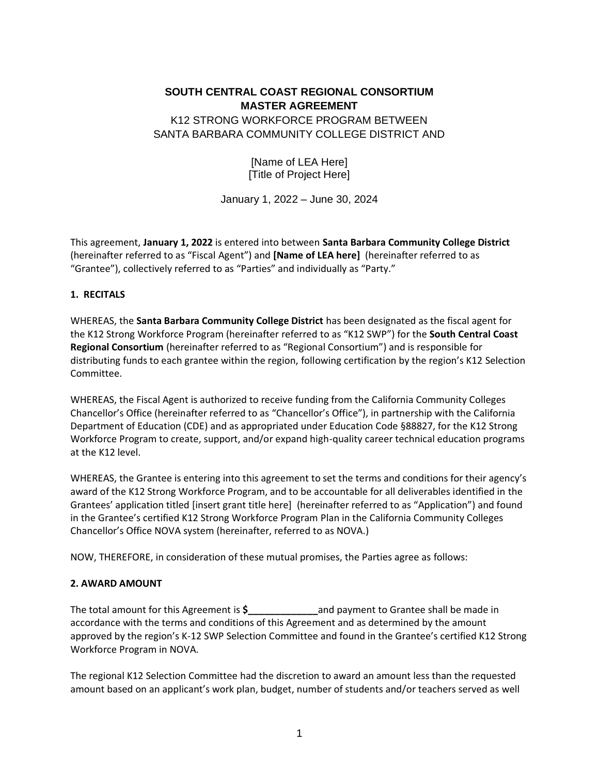# **SOUTH CENTRAL COAST REGIONAL CONSORTIUM MASTER AGREEMENT**  K12 STRONG WORKFORCE PROGRAM BETWEEN SANTA BARBARA COMMUNITY COLLEGE DISTRICT AND

[Name of LEA Here] [Title of Project Here]

January 1, 2022 – June 30, 2024

This agreement, **January 1, 2022** is entered into between **Santa Barbara Community College District** (hereinafter referred to as "Fiscal Agent") and **[Name of LEA here]** (hereinafter referred to as "Grantee"), collectively referred to as "Parties" and individually as "Party."

### **1. RECITALS**

WHEREAS, the **Santa Barbara Community College District** has been designated as the fiscal agent for the K12 Strong Workforce Program (hereinafter referred to as "K12 SWP") for the **South Central Coast Regional Consortium** (hereinafter referred to as "Regional Consortium") and is responsible for distributing funds to each grantee within the region, following certification by the region's K12 Selection Committee.

WHEREAS, the Fiscal Agent is authorized to receive funding from the California Community Colleges Chancellor's Office (hereinafter referred to as "Chancellor's Office"), in partnership with the California Department of Education (CDE) and as appropriated under Education Code §88827, for the K12 Strong Workforce Program to create, support, and/or expand high-quality career technical education programs at the K12 level.

WHEREAS, the Grantee is entering into this agreement to set the terms and conditions for their agency's award of the K12 Strong Workforce Program, and to be accountable for all deliverables identified in the Grantees' application titled [insert grant title here] (hereinafter referred to as "Application") and found in the Grantee's certified K12 Strong Workforce Program Plan in the California Community Colleges Chancellor's Office NOVA system (hereinafter, referred to as NOVA.)

NOW, THEREFORE, in consideration of these mutual promises, the Parties agree as follows:

### **2. AWARD AMOUNT**

The total amount for this Agreement is **\$\_\_\_\_\_\_\_\_\_\_\_\_\_**and payment to Grantee shall be made in accordance with the terms and conditions of this Agreement and as determined by the amount approved by the region's K-12 SWP Selection Committee and found in the Grantee's certified K12 Strong Workforce Program in NOVA.

The regional K12 Selection Committee had the discretion to award an amount less than the requested amount based on an applicant's work plan, budget, number of students and/or teachers served as well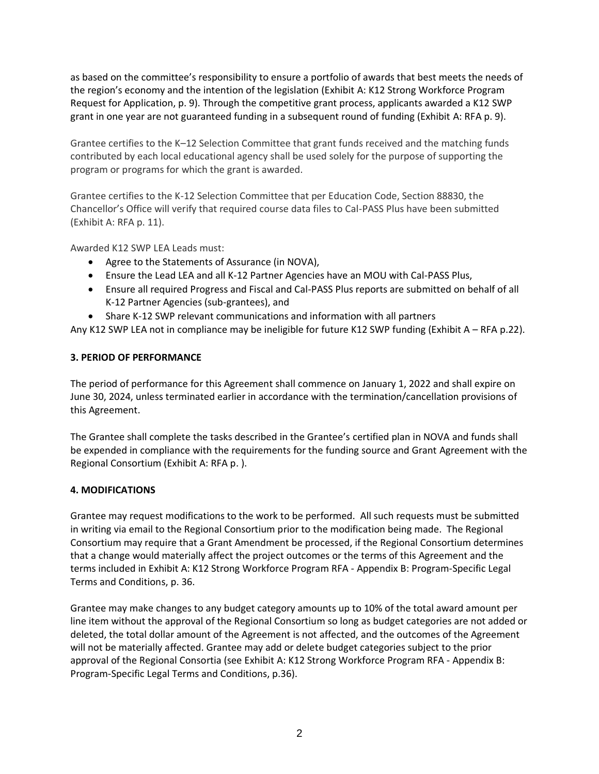as based on the committee's responsibility to ensure a portfolio of awards that best meets the needs of the region's economy and the intention of the legislation (Exhibit A: K12 Strong Workforce Program Request for Application, p. 9). Through the competitive grant process, applicants awarded a K12 SWP grant in one year are not guaranteed funding in a subsequent round of funding (Exhibit A: RFA p. 9).

Grantee certifies to the K–12 Selection Committee that grant funds received and the matching funds contributed by each local educational agency shall be used solely for the purpose of supporting the program or programs for which the grant is awarded.

Grantee certifies to the K-12 Selection Committee that per Education Code, Section 88830, the Chancellor's Office will verify that required course data files to Cal-PASS Plus have been submitted (Exhibit A: RFA p. 11).

Awarded K12 SWP LEA Leads must:

- Agree to the Statements of Assurance (in NOVA),
- Ensure the Lead LEA and all K-12 Partner Agencies have an MOU with Cal-PASS Plus,
- Ensure all required Progress and Fiscal and Cal-PASS Plus reports are submitted on behalf of all K-12 Partner Agencies (sub-grantees), and
- Share K-12 SWP relevant communications and information with all partners

Any K12 SWP LEA not in compliance may be ineligible for future K12 SWP funding (Exhibit A – RFA p.22).

### **3. PERIOD OF PERFORMANCE**

The period of performance for this Agreement shall commence on January 1, 2022 and shall expire on June 30, 2024, unless terminated earlier in accordance with the termination/cancellation provisions of this Agreement.

The Grantee shall complete the tasks described in the Grantee's certified plan in NOVA and funds shall be expended in compliance with the requirements for the funding source and Grant Agreement with the Regional Consortium (Exhibit A: RFA p. ).

### **4. MODIFICATIONS**

Grantee may request modifications to the work to be performed. All such requests must be submitted in writing via email to the Regional Consortium prior to the modification being made. The Regional Consortium may require that a Grant Amendment be processed, if the Regional Consortium determines that a change would materially affect the project outcomes or the terms of this Agreement and the terms included in Exhibit A: K12 Strong Workforce Program RFA - Appendix B: Program-Specific Legal Terms and Conditions, p. 36.

Grantee may make changes to any budget category amounts up to 10% of the total award amount per line item without the approval of the Regional Consortium so long as budget categories are not added or deleted, the total dollar amount of the Agreement is not affected, and the outcomes of the Agreement will not be materially affected. Grantee may add or delete budget categories subject to the prior approval of the Regional Consortia (see Exhibit A: K12 Strong Workforce Program RFA - Appendix B: Program-Specific Legal Terms and Conditions, p.36).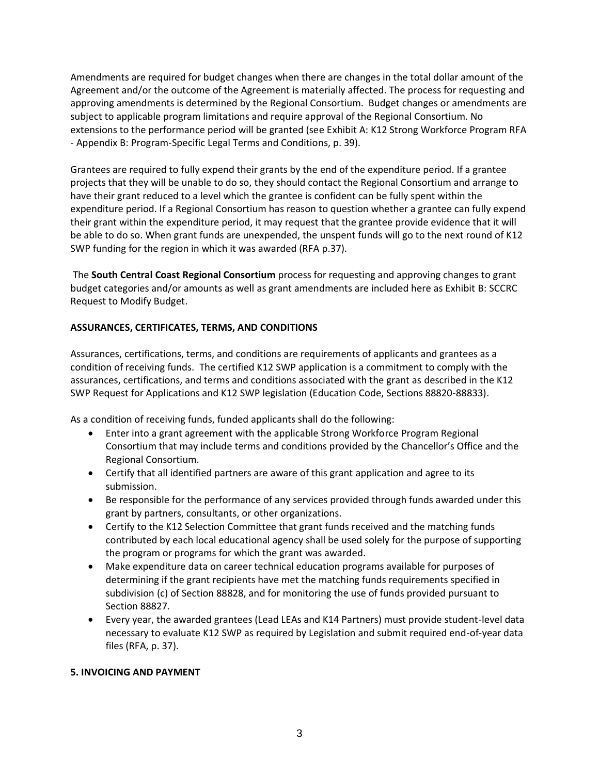Amendments are required for budget changes when there are changes in the total dollar amount of the Agreement and/or the outcome of the Agreement is materially affected. The process for requesting and approving amendments is determined by the Regional Consortium. Budget changes or amendments are subject to applicable program limitations and require approval of the Regional Consortium. No extensions to the performance period will be granted (see Exhibit A: K12 Strong Workforce Program RFA - Appendix B: Program-Specific Legal Terms and Conditions, p. 39).

Grantees are required to fully expend their grants by the end of the expenditure period. If a grantee projects that they will be unable to do so, they should contact the Regional Consortium and arrange to have their grant reduced to a level which the grantee is confident can be fully spent within the expenditure period. If a Regional Consortium has reason to question whether a grantee can fully expend their grant within the expenditure period, it may request that the grantee provide evidence that it will be able to do so. When grant funds are unexpended, the unspent funds will go to the next round of K12 SWP funding for the region in which it was awarded (RFA p.37).

The **South Central Coast Regional Consortium** process for requesting and approving changes to grant budget categories and/or amounts as well as grant amendments are included here as Exhibit B: SCCRC Request to Modify Budget.

## **ASSURANCES, CERTIFICATES, TERMS, AND CONDITIONS**

Assurances, certifications, terms, and conditions are requirements of applicants and grantees as a condition of receiving funds. The certified K12 SWP application is a commitment to comply with the assurances, certifications, and terms and conditions associated with the grant as described in the K12 SWP Request for Applications and K12 SWP legislation (Education Code, Sections 88820-88833).

As a condition of receiving funds, funded applicants shall do the following:

- Enter into a grant agreement with the applicable Strong Workforce Program Regional Consortium that may include terms and conditions provided by the Chancellor's Office and the Regional Consortium.
- Certify that all identified partners are aware of this grant application and agree to its submission.
- Be responsible for the performance of any services provided through funds awarded under this grant by partners, consultants, or other organizations.
- Certify to the K12 Selection Committee that grant funds received and the matching funds contributed by each local educational agency shall be used solely for the purpose of supporting the program or programs for which the grant was awarded.
- Make expenditure data on career technical education programs available for purposes of determining if the grant recipients have met the matching funds requirements specified in subdivision (c) of Section 88828, and for monitoring the use of funds provided pursuant to Section 88827.
- Every year, the awarded grantees (Lead LEAs and K14 Partners) must provide student-level data necessary to evaluate K12 SWP as required by Legislation and submit required end-of-year data files (RFA, p. 37).

### **5. INVOICING AND PAYMENT**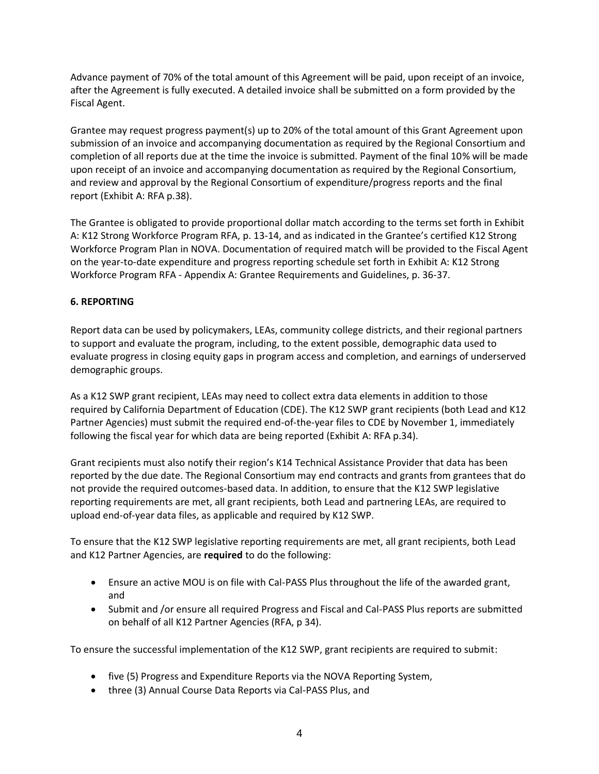Advance payment of 70% of the total amount of this Agreement will be paid, upon receipt of an invoice, after the Agreement is fully executed. A detailed invoice shall be submitted on a form provided by the Fiscal Agent.

Grantee may request progress payment(s) up to 20% of the total amount of this Grant Agreement upon submission of an invoice and accompanying documentation as required by the Regional Consortium and completion of all reports due at the time the invoice is submitted. Payment of the final 10% will be made upon receipt of an invoice and accompanying documentation as required by the Regional Consortium, and review and approval by the Regional Consortium of expenditure/progress reports and the final report (Exhibit A: RFA p.38).

The Grantee is obligated to provide proportional dollar match according to the terms set forth in Exhibit A: K12 Strong Workforce Program RFA, p. 13-14, and as indicated in the Grantee's certified K12 Strong Workforce Program Plan in NOVA. Documentation of required match will be provided to the Fiscal Agent on the year-to-date expenditure and progress reporting schedule set forth in Exhibit A: K12 Strong Workforce Program RFA - Appendix A: Grantee Requirements and Guidelines, p. 36-37.

## **6. REPORTING**

Report data can be used by policymakers, LEAs, community college districts, and their regional partners to support and evaluate the program, including, to the extent possible, demographic data used to evaluate progress in closing equity gaps in program access and completion, and earnings of underserved demographic groups.

As a K12 SWP grant recipient, LEAs may need to collect extra data elements in addition to those required by California Department of Education (CDE). The K12 SWP grant recipients (both Lead and K12 Partner Agencies) must submit the required end-of-the-year files to CDE by November 1, immediately following the fiscal year for which data are being reported (Exhibit A: RFA p.34).

Grant recipients must also notify their region's K14 Technical Assistance Provider that data has been reported by the due date. The Regional Consortium may end contracts and grants from grantees that do not provide the required outcomes-based data. In addition, to ensure that the K12 SWP legislative reporting requirements are met, all grant recipients, both Lead and partnering LEAs, are required to upload end-of-year data files, as applicable and required by K12 SWP.

To ensure that the K12 SWP legislative reporting requirements are met, all grant recipients, both Lead and K12 Partner Agencies, are **required** to do the following:

- Ensure an active MOU is on file with Cal-PASS Plus throughout the life of the awarded grant, and
- Submit and /or ensure all required Progress and Fiscal and Cal-PASS Plus reports are submitted on behalf of all K12 Partner Agencies (RFA, p 34).

To ensure the successful implementation of the K12 SWP, grant recipients are required to submit:

- five (5) Progress and Expenditure Reports via the NOVA Reporting System,
- three (3) Annual Course Data Reports via Cal-PASS Plus, and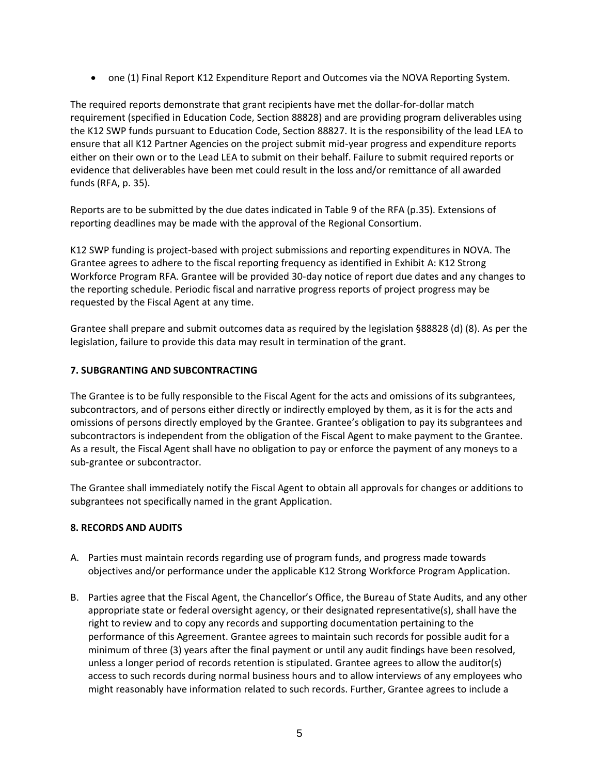• one (1) Final Report K12 Expenditure Report and Outcomes via the NOVA Reporting System.

The required reports demonstrate that grant recipients have met the dollar-for-dollar match requirement (specified in Education Code, Section 88828) and are providing program deliverables using the K12 SWP funds pursuant to Education Code, Section 88827. It is the responsibility of the lead LEA to ensure that all K12 Partner Agencies on the project submit mid-year progress and expenditure reports either on their own or to the Lead LEA to submit on their behalf. Failure to submit required reports or evidence that deliverables have been met could result in the loss and/or remittance of all awarded funds (RFA, p. 35).

Reports are to be submitted by the due dates indicated in Table 9 of the RFA (p.35). Extensions of reporting deadlines may be made with the approval of the Regional Consortium.

K12 SWP funding is project-based with project submissions and reporting expenditures in NOVA. The Grantee agrees to adhere to the fiscal reporting frequency as identified in Exhibit A: K12 Strong Workforce Program RFA. Grantee will be provided 30-day notice of report due dates and any changes to the reporting schedule. Periodic fiscal and narrative progress reports of project progress may be requested by the Fiscal Agent at any time.

Grantee shall prepare and submit outcomes data as required by the legislation §88828 (d) (8). As per the legislation, failure to provide this data may result in termination of the grant.

## **7. SUBGRANTING AND SUBCONTRACTING**

The Grantee is to be fully responsible to the Fiscal Agent for the acts and omissions of its subgrantees, subcontractors, and of persons either directly or indirectly employed by them, as it is for the acts and omissions of persons directly employed by the Grantee. Grantee's obligation to pay its subgrantees and subcontractors is independent from the obligation of the Fiscal Agent to make payment to the Grantee. As a result, the Fiscal Agent shall have no obligation to pay or enforce the payment of any moneys to a sub-grantee or subcontractor.

The Grantee shall immediately notify the Fiscal Agent to obtain all approvals for changes or additions to subgrantees not specifically named in the grant Application.

### **8. RECORDS AND AUDITS**

- A. Parties must maintain records regarding use of program funds, and progress made towards objectives and/or performance under the applicable K12 Strong Workforce Program Application.
- B. Parties agree that the Fiscal Agent, the Chancellor's Office, the Bureau of State Audits, and any other appropriate state or federal oversight agency, or their designated representative(s), shall have the right to review and to copy any records and supporting documentation pertaining to the performance of this Agreement. Grantee agrees to maintain such records for possible audit for a minimum of three (3) years after the final payment or until any audit findings have been resolved, unless a longer period of records retention is stipulated. Grantee agrees to allow the auditor(s) access to such records during normal business hours and to allow interviews of any employees who might reasonably have information related to such records. Further, Grantee agrees to include a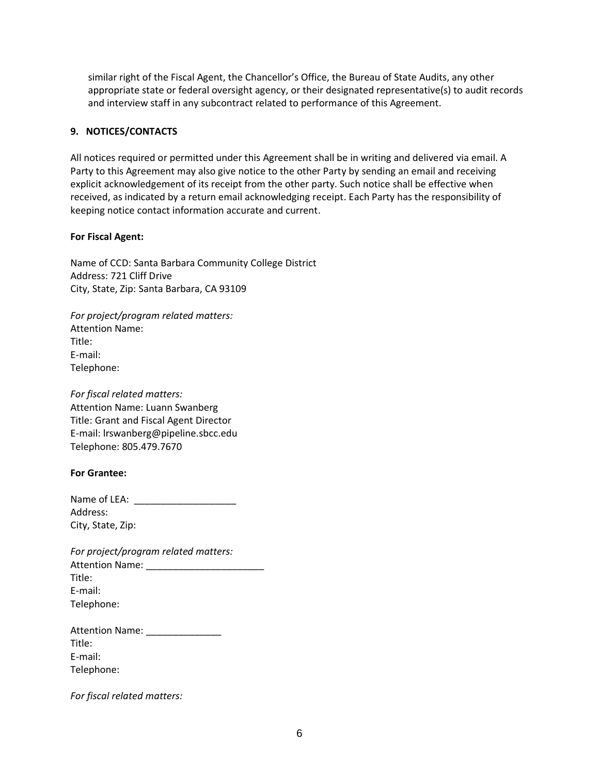similar right of the Fiscal Agent, the Chancellor's Office, the Bureau of State Audits, any other appropriate state or federal oversight agency, or their designated representative(s) to audit records and interview staff in any subcontract related to performance of this Agreement.

### **9. NOTICES/CONTACTS**

All notices required or permitted under this Agreement shall be in writing and delivered via email. A Party to this Agreement may also give notice to the other Party by sending an email and receiving explicit acknowledgement of its receipt from the other party. Such notice shall be effective when received, as indicated by a return email acknowledging receipt. Each Party has the responsibility of keeping notice contact information accurate and current.

## **For Fiscal Agent:**

Name of CCD: Santa Barbara Community College District Address: 721 Cliff Drive City, State, Zip: Santa Barbara, CA 93109

*For project/program related matters:* Attention Name: Title: E-mail: Telephone:

*For fiscal related matters:* Attention Name: Luann Swanberg Title: Grant and Fiscal Agent Director E-mail: lrswanberg@pipeline.sbcc.edu Telephone: 805.479.7670

### **For Grantee:**

| Name of LEA:      |
|-------------------|
| Address:          |
| City, State, Zip: |

| For project/program related matters: |
|--------------------------------------|
| <b>Attention Name:</b>               |
| Title:                               |
| E-mail:                              |
| Telephone:                           |

*For fiscal related matters:*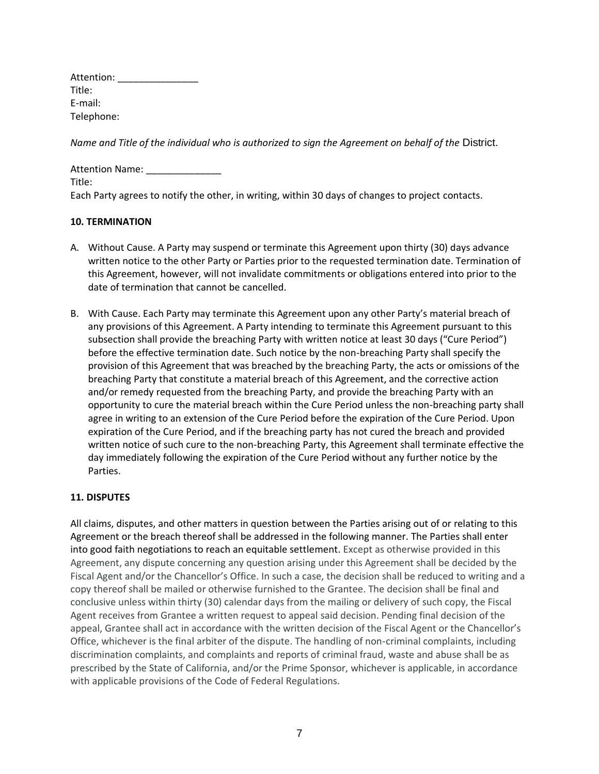*Name and Title of the individual who is authorized to sign the Agreement on behalf of the District.* 

| <b>Attention Name:</b>                                                                            |  |
|---------------------------------------------------------------------------------------------------|--|
| Title:                                                                                            |  |
| Each Party agrees to notify the other, in writing, within 30 days of changes to project contacts. |  |

### **10. TERMINATION**

- A. Without Cause. A Party may suspend or terminate this Agreement upon thirty (30) days advance written notice to the other Party or Parties prior to the requested termination date. Termination of this Agreement, however, will not invalidate commitments or obligations entered into prior to the date of termination that cannot be cancelled.
- B. With Cause. Each Party may terminate this Agreement upon any other Party's material breach of any provisions of this Agreement. A Party intending to terminate this Agreement pursuant to this subsection shall provide the breaching Party with written notice at least 30 days ("Cure Period") before the effective termination date. Such notice by the non-breaching Party shall specify the provision of this Agreement that was breached by the breaching Party, the acts or omissions of the breaching Party that constitute a material breach of this Agreement, and the corrective action and/or remedy requested from the breaching Party, and provide the breaching Party with an opportunity to cure the material breach within the Cure Period unless the non-breaching party shall agree in writing to an extension of the Cure Period before the expiration of the Cure Period. Upon expiration of the Cure Period, and if the breaching party has not cured the breach and provided written notice of such cure to the non-breaching Party, this Agreement shall terminate effective the day immediately following the expiration of the Cure Period without any further notice by the Parties.

## **11. DISPUTES**

All claims, disputes, and other matters in question between the Parties arising out of or relating to this Agreement or the breach thereof shall be addressed in the following manner. The Parties shall enter into good faith negotiations to reach an equitable settlement. Except as otherwise provided in this Agreement, any dispute concerning any question arising under this Agreement shall be decided by the Fiscal Agent and/or the Chancellor's Office. In such a case, the decision shall be reduced to writing and a copy thereof shall be mailed or otherwise furnished to the Grantee. The decision shall be final and conclusive unless within thirty (30) calendar days from the mailing or delivery of such copy, the Fiscal Agent receives from Grantee a written request to appeal said decision. Pending final decision of the appeal, Grantee shall act in accordance with the written decision of the Fiscal Agent or the Chancellor's Office, whichever is the final arbiter of the dispute. The handling of non-criminal complaints, including discrimination complaints, and complaints and reports of criminal fraud, waste and abuse shall be as prescribed by the State of California, and/or the Prime Sponsor, whichever is applicable, in accordance with applicable provisions of the Code of Federal Regulations.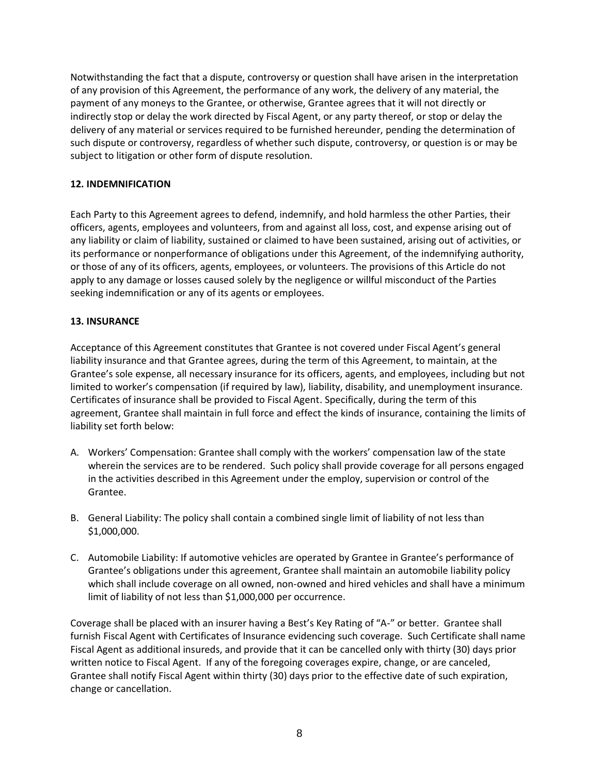Notwithstanding the fact that a dispute, controversy or question shall have arisen in the interpretation of any provision of this Agreement, the performance of any work, the delivery of any material, the payment of any moneys to the Grantee, or otherwise, Grantee agrees that it will not directly or indirectly stop or delay the work directed by Fiscal Agent, or any party thereof, or stop or delay the delivery of any material or services required to be furnished hereunder, pending the determination of such dispute or controversy, regardless of whether such dispute, controversy, or question is or may be subject to litigation or other form of dispute resolution.

## **12. INDEMNIFICATION**

Each Party to this Agreement agrees to defend, indemnify, and hold harmless the other Parties, their officers, agents, employees and volunteers, from and against all loss, cost, and expense arising out of any liability or claim of liability, sustained or claimed to have been sustained, arising out of activities, or its performance or nonperformance of obligations under this Agreement, of the indemnifying authority, or those of any of its officers, agents, employees, or volunteers. The provisions of this Article do not apply to any damage or losses caused solely by the negligence or willful misconduct of the Parties seeking indemnification or any of its agents or employees.

## **13. INSURANCE**

Acceptance of this Agreement constitutes that Grantee is not covered under Fiscal Agent's general liability insurance and that Grantee agrees, during the term of this Agreement, to maintain, at the Grantee's sole expense, all necessary insurance for its officers, agents, and employees, including but not limited to worker's compensation (if required by law), liability, disability, and unemployment insurance. Certificates of insurance shall be provided to Fiscal Agent. Specifically, during the term of this agreement, Grantee shall maintain in full force and effect the kinds of insurance, containing the limits of liability set forth below:

- A. Workers' Compensation: Grantee shall comply with the workers' compensation law of the state wherein the services are to be rendered. Such policy shall provide coverage for all persons engaged in the activities described in this Agreement under the employ, supervision or control of the Grantee.
- B. General Liability: The policy shall contain a combined single limit of liability of not less than \$1,000,000.
- C. Automobile Liability: If automotive vehicles are operated by Grantee in Grantee's performance of Grantee's obligations under this agreement, Grantee shall maintain an automobile liability policy which shall include coverage on all owned, non-owned and hired vehicles and shall have a minimum limit of liability of not less than \$1,000,000 per occurrence.

Coverage shall be placed with an insurer having a Best's Key Rating of "A-" or better. Grantee shall furnish Fiscal Agent with Certificates of Insurance evidencing such coverage. Such Certificate shall name Fiscal Agent as additional insureds, and provide that it can be cancelled only with thirty (30) days prior written notice to Fiscal Agent. If any of the foregoing coverages expire, change, or are canceled, Grantee shall notify Fiscal Agent within thirty (30) days prior to the effective date of such expiration, change or cancellation.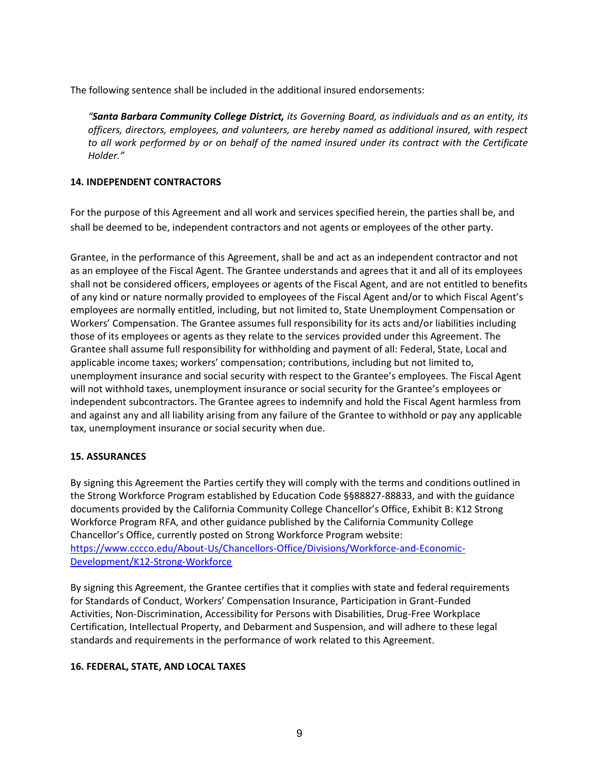The following sentence shall be included in the additional insured endorsements:

*"Santa Barbara Community College District, its Governing Board, as individuals and as an entity, its officers, directors, employees, and volunteers, are hereby named as additional insured, with respect to all work performed by or on behalf of the named insured under its contract with the Certificate Holder."*

## **14. INDEPENDENT CONTRACTORS**

For the purpose of this Agreement and all work and services specified herein, the parties shall be, and shall be deemed to be, independent contractors and not agents or employees of the other party.

Grantee, in the performance of this Agreement, shall be and act as an independent contractor and not as an employee of the Fiscal Agent. The Grantee understands and agrees that it and all of its employees shall not be considered officers, employees or agents of the Fiscal Agent, and are not entitled to benefits of any kind or nature normally provided to employees of the Fiscal Agent and/or to which Fiscal Agent's employees are normally entitled, including, but not limited to, State Unemployment Compensation or Workers' Compensation. The Grantee assumes full responsibility for its acts and/or liabilities including those of its employees or agents as they relate to the services provided under this Agreement. The Grantee shall assume full responsibility for withholding and payment of all: Federal, State, Local and applicable income taxes; workers' compensation; contributions, including but not limited to, unemployment insurance and social security with respect to the Grantee's employees. The Fiscal Agent will not withhold taxes, unemployment insurance or social security for the Grantee's employees or independent subcontractors. The Grantee agrees to indemnify and hold the Fiscal Agent harmless from and against any and all liability arising from any failure of the Grantee to withhold or pay any applicable tax, unemployment insurance or social security when due.

## **15. ASSURANCES**

By signing this Agreement the Parties certify they will comply with the terms and conditions outlined in the Strong Workforce Program established by Education Code §§88827-88833, and with the guidance documents provided by the California Community College Chancellor's Office, Exhibit B: K12 Strong Workforce Program RFA, and other guidance published by the California Community College Chancellor's Office, currently posted on Strong Workforce Program website: [https://www.cccco.edu/About-Us/Chancellors-Office/Divisions/Workforce-and-Economic-](https://www.cccco.edu/About-Us/Chancellors-Office/Divisions/Workforce-and-Economic-Development/K12-Strong-Workforce)[Development/K12-Strong-Workforce](https://www.cccco.edu/About-Us/Chancellors-Office/Divisions/Workforce-and-Economic-Development/K12-Strong-Workforce)

By signing this Agreement, the Grantee certifies that it complies with state and federal requirements for Standards of Conduct, Workers' Compensation Insurance, Participation in Grant-Funded Activities, Non-Discrimination, Accessibility for Persons with Disabilities, Drug-Free Workplace Certification, Intellectual Property, and Debarment and Suspension, and will adhere to these legal standards and requirements in the performance of work related to this Agreement.

## **16. FEDERAL, STATE, AND LOCAL TAXES**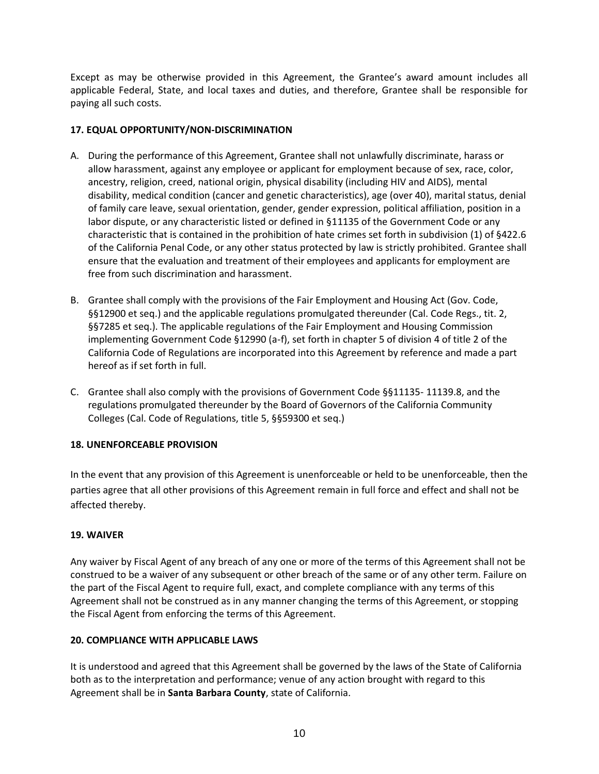Except as may be otherwise provided in this Agreement, the Grantee's award amount includes all applicable Federal, State, and local taxes and duties, and therefore, Grantee shall be responsible for paying all such costs.

## **17. EQUAL OPPORTUNITY/NON-DISCRIMINATION**

- A. During the performance of this Agreement, Grantee shall not unlawfully discriminate, harass or allow harassment, against any employee or applicant for employment because of sex, race, color, ancestry, religion, creed, national origin, physical disability (including HIV and AIDS), mental disability, medical condition (cancer and genetic characteristics), age (over 40), marital status, denial of family care leave, sexual orientation, gender, gender expression, political affiliation, position in a labor dispute, or any characteristic listed or defined in §11135 of the Government Code or any characteristic that is contained in the prohibition of hate crimes set forth in subdivision (1) of §422.6 of the California Penal Code, or any other status protected by law is strictly prohibited. Grantee shall ensure that the evaluation and treatment of their employees and applicants for employment are free from such discrimination and harassment.
- B. Grantee shall comply with the provisions of the Fair Employment and Housing Act (Gov. Code, §§12900 et seq.) and the applicable regulations promulgated thereunder (Cal. Code Regs., tit. 2, §§7285 et seq.). The applicable regulations of the Fair Employment and Housing Commission implementing Government Code §12990 (a-f), set forth in chapter 5 of division 4 of title 2 of the California Code of Regulations are incorporated into this Agreement by reference and made a part hereof as if set forth in full.
- C. Grantee shall also comply with the provisions of Government Code §§11135- 11139.8, and the regulations promulgated thereunder by the Board of Governors of the California Community Colleges (Cal. Code of Regulations, title 5, §§59300 et seq.)

## **18. UNENFORCEABLE PROVISION**

In the event that any provision of this Agreement is unenforceable or held to be unenforceable, then the parties agree that all other provisions of this Agreement remain in full force and effect and shall not be affected thereby.

## **19. WAIVER**

Any waiver by Fiscal Agent of any breach of any one or more of the terms of this Agreement shall not be construed to be a waiver of any subsequent or other breach of the same or of any other term. Failure on the part of the Fiscal Agent to require full, exact, and complete compliance with any terms of this Agreement shall not be construed as in any manner changing the terms of this Agreement, or stopping the Fiscal Agent from enforcing the terms of this Agreement.

## **20. COMPLIANCE WITH APPLICABLE LAWS**

It is understood and agreed that this Agreement shall be governed by the laws of the State of California both as to the interpretation and performance; venue of any action brought with regard to this Agreement shall be in **Santa Barbara County**, state of California.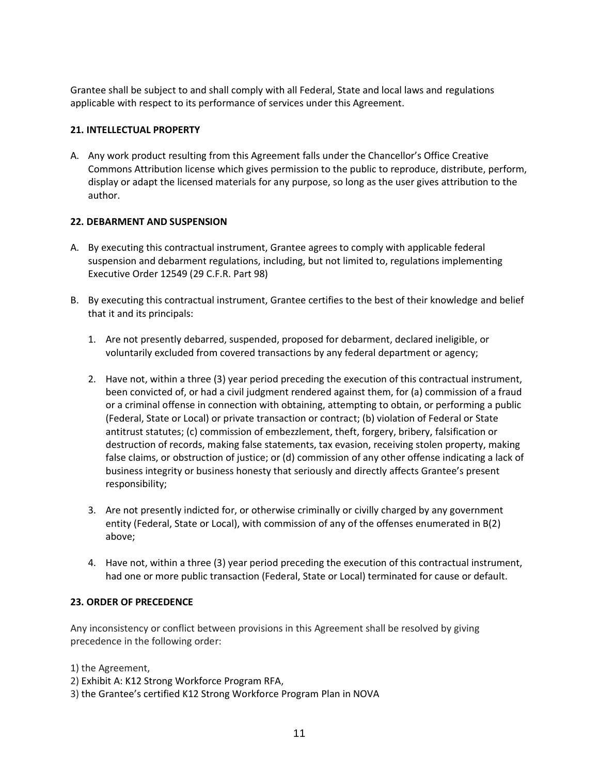Grantee shall be subject to and shall comply with all Federal, State and local laws and regulations applicable with respect to its performance of services under this Agreement.

### **21. INTELLECTUAL PROPERTY**

A. Any work product resulting from this Agreement falls under the Chancellor's Office Creative Commons Attribution license which gives permission to the public to reproduce, distribute, perform, display or adapt the licensed materials for any purpose, so long as the user gives attribution to the author.

## **22. DEBARMENT AND SUSPENSION**

- A. By executing this contractual instrument, Grantee agrees to comply with applicable federal suspension and debarment regulations, including, but not limited to, regulations implementing Executive Order 12549 (29 C.F.R. Part 98)
- B. By executing this contractual instrument, Grantee certifies to the best of their knowledge and belief that it and its principals:
	- 1. Are not presently debarred, suspended, proposed for debarment, declared ineligible, or voluntarily excluded from covered transactions by any federal department or agency;
	- 2. Have not, within a three (3) year period preceding the execution of this contractual instrument, been convicted of, or had a civil judgment rendered against them, for (a) commission of a fraud or a criminal offense in connection with obtaining, attempting to obtain, or performing a public (Federal, State or Local) or private transaction or contract; (b) violation of Federal or State antitrust statutes; (c) commission of embezzlement, theft, forgery, bribery, falsification or destruction of records, making false statements, tax evasion, receiving stolen property, making false claims, or obstruction of justice; or (d) commission of any other offense indicating a lack of business integrity or business honesty that seriously and directly affects Grantee's present responsibility;
	- 3. Are not presently indicted for, or otherwise criminally or civilly charged by any government entity (Federal, State or Local), with commission of any of the offenses enumerated in B(2) above;
	- 4. Have not, within a three (3) year period preceding the execution of this contractual instrument, had one or more public transaction (Federal, State or Local) terminated for cause or default.

### **23. ORDER OF PRECEDENCE**

Any inconsistency or conflict between provisions in this Agreement shall be resolved by giving precedence in the following order:

1) the Agreement,

- 2) Exhibit A: K12 Strong Workforce Program RFA,
- 3) the Grantee's certified K12 Strong Workforce Program Plan in NOVA